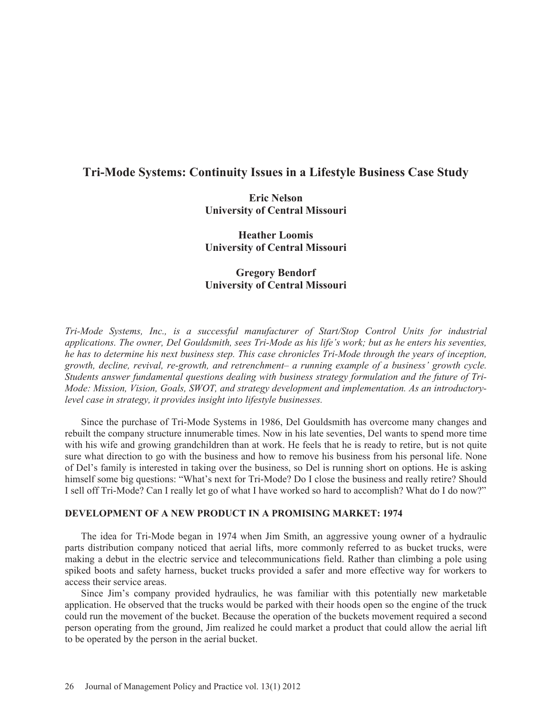# **Tri-Mode Systems: Continuity Issues in a Lifestyle Business Case Study**

**Eric Nelson University of Central Missouri** 

**Heather Loomis University of Central Missouri** 

# **Gregory Bendorf University of Central Missouri**

*Tri-Mode Systems, Inc., is a successful manufacturer of Start/Stop Control Units for industrial applications. The owner, Del Gouldsmith, sees Tri-Mode as his life's work; but as he enters his seventies, he has to determine his next business step. This case chronicles Tri-Mode through the years of inception, growth, decline, revival, re-growth, and retrenchment– a running example of a business' growth cycle. Students answer fundamental questions dealing with business strategy formulation and the future of Tri-Mode: Mission, Vision, Goals, SWOT, and strategy development and implementation. As an introductorylevel case in strategy, it provides insight into lifestyle businesses.* 

Since the purchase of Tri-Mode Systems in 1986, Del Gouldsmith has overcome many changes and rebuilt the company structure innumerable times. Now in his late seventies, Del wants to spend more time with his wife and growing grandchildren than at work. He feels that he is ready to retire, but is not quite sure what direction to go with the business and how to remove his business from his personal life. None of Del's family is interested in taking over the business, so Del is running short on options. He is asking himself some big questions: "What's next for Tri-Mode? Do I close the business and really retire? Should I sell off Tri-Mode? Can I really let go of what I have worked so hard to accomplish? What do I do now?"

# **DEVELOPMENT OF A NEW PRODUCT IN A PROMISING MARKET: 1974**

The idea for Tri-Mode began in 1974 when Jim Smith, an aggressive young owner of a hydraulic parts distribution company noticed that aerial lifts, more commonly referred to as bucket trucks, were making a debut in the electric service and telecommunications field. Rather than climbing a pole using spiked boots and safety harness, bucket trucks provided a safer and more effective way for workers to access their service areas.

Since Jim's company provided hydraulics, he was familiar with this potentially new marketable application. He observed that the trucks would be parked with their hoods open so the engine of the truck could run the movement of the bucket. Because the operation of the buckets movement required a second person operating from the ground, Jim realized he could market a product that could allow the aerial lift to be operated by the person in the aerial bucket.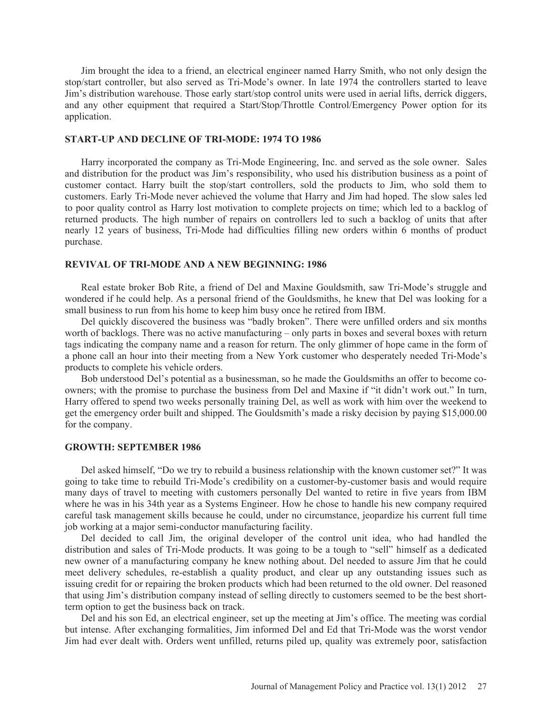Jim brought the idea to a friend, an electrical engineer named Harry Smith, who not only design the stop/start controller, but also served as Tri-Mode's owner. In late 1974 the controllers started to leave Jim's distribution warehouse. Those early start/stop control units were used in aerial lifts, derrick diggers, and any other equipment that required a Start/Stop/Throttle Control/Emergency Power option for its application.

## **START-UP AND DECLINE OF TRI-MODE: 1974 TO 1986**

Harry incorporated the company as Tri-Mode Engineering, Inc. and served as the sole owner. Sales and distribution for the product was Jim's responsibility, who used his distribution business as a point of customer contact. Harry built the stop/start controllers, sold the products to Jim, who sold them to customers. Early Tri-Mode never achieved the volume that Harry and Jim had hoped. The slow sales led to poor quality control as Harry lost motivation to complete projects on time; which led to a backlog of returned products. The high number of repairs on controllers led to such a backlog of units that after nearly 12 years of business, Tri-Mode had difficulties filling new orders within 6 months of product purchase.

#### **REVIVAL OF TRI-MODE AND A NEW BEGINNING: 1986**

Real estate broker Bob Rite, a friend of Del and Maxine Gouldsmith, saw Tri-Mode's struggle and wondered if he could help. As a personal friend of the Gouldsmiths, he knew that Del was looking for a small business to run from his home to keep him busy once he retired from IBM.

Del quickly discovered the business was "badly broken". There were unfilled orders and six months worth of backlogs. There was no active manufacturing – only parts in boxes and several boxes with return tags indicating the company name and a reason for return. The only glimmer of hope came in the form of a phone call an hour into their meeting from a New York customer who desperately needed Tri-Mode's products to complete his vehicle orders.

Bob understood Del's potential as a businessman, so he made the Gouldsmiths an offer to become coowners; with the promise to purchase the business from Del and Maxine if "it didn't work out." In turn, Harry offered to spend two weeks personally training Del, as well as work with him over the weekend to get the emergency order built and shipped. The Gouldsmith's made a risky decision by paying \$15,000.00 for the company.

#### **GROWTH: SEPTEMBER 1986**

Del asked himself, "Do we try to rebuild a business relationship with the known customer set?" It was going to take time to rebuild Tri-Mode's credibility on a customer-by-customer basis and would require many days of travel to meeting with customers personally Del wanted to retire in five years from IBM where he was in his 34th year as a Systems Engineer. How he chose to handle his new company required careful task management skills because he could, under no circumstance, jeopardize his current full time job working at a major semi-conductor manufacturing facility.

Del decided to call Jim, the original developer of the control unit idea, who had handled the distribution and sales of Tri-Mode products. It was going to be a tough to "sell" himself as a dedicated new owner of a manufacturing company he knew nothing about. Del needed to assure Jim that he could meet delivery schedules, re-establish a quality product, and clear up any outstanding issues such as issuing credit for or repairing the broken products which had been returned to the old owner. Del reasoned that using Jim's distribution company instead of selling directly to customers seemed to be the best shortterm option to get the business back on track.

Del and his son Ed, an electrical engineer, set up the meeting at Jim's office. The meeting was cordial but intense. After exchanging formalities, Jim informed Del and Ed that Tri-Mode was the worst vendor Jim had ever dealt with. Orders went unfilled, returns piled up, quality was extremely poor, satisfaction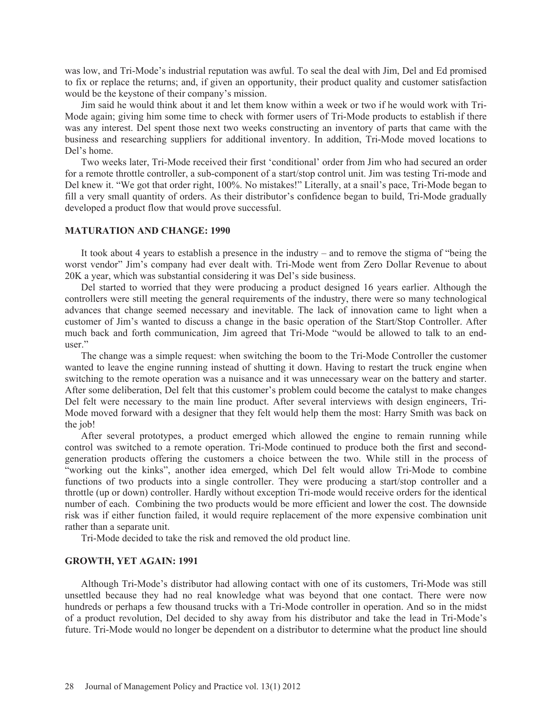was low, and Tri-Mode's industrial reputation was awful. To seal the deal with Jim, Del and Ed promised to fix or replace the returns; and, if given an opportunity, their product quality and customer satisfaction would be the keystone of their company's mission.

Jim said he would think about it and let them know within a week or two if he would work with Tri-Mode again; giving him some time to check with former users of Tri-Mode products to establish if there was any interest. Del spent those next two weeks constructing an inventory of parts that came with the business and researching suppliers for additional inventory. In addition, Tri-Mode moved locations to Del's home.

Two weeks later, Tri-Mode received their first 'conditional' order from Jim who had secured an order for a remote throttle controller, a sub-component of a start/stop control unit. Jim was testing Tri-mode and Del knew it. "We got that order right, 100%. No mistakes!" Literally, at a snail's pace, Tri-Mode began to fill a very small quantity of orders. As their distributor's confidence began to build, Tri-Mode gradually developed a product flow that would prove successful.

#### **MATURATION AND CHANGE: 1990**

It took about 4 years to establish a presence in the industry – and to remove the stigma of "being the worst vendor" Jim's company had ever dealt with. Tri-Mode went from Zero Dollar Revenue to about 20K a year, which was substantial considering it was Del's side business.

Del started to worried that they were producing a product designed 16 years earlier. Although the controllers were still meeting the general requirements of the industry, there were so many technological advances that change seemed necessary and inevitable. The lack of innovation came to light when a customer of Jim's wanted to discuss a change in the basic operation of the Start/Stop Controller. After much back and forth communication, Jim agreed that Tri-Mode "would be allowed to talk to an enduser."

The change was a simple request: when switching the boom to the Tri-Mode Controller the customer wanted to leave the engine running instead of shutting it down. Having to restart the truck engine when switching to the remote operation was a nuisance and it was unnecessary wear on the battery and starter. After some deliberation, Del felt that this customer's problem could become the catalyst to make changes Del felt were necessary to the main line product. After several interviews with design engineers, Tri-Mode moved forward with a designer that they felt would help them the most: Harry Smith was back on the job!

After several prototypes, a product emerged which allowed the engine to remain running while control was switched to a remote operation. Tri-Mode continued to produce both the first and secondgeneration products offering the customers a choice between the two. While still in the process of "working out the kinks", another idea emerged, which Del felt would allow Tri-Mode to combine functions of two products into a single controller. They were producing a start/stop controller and a throttle (up or down) controller. Hardly without exception Tri-mode would receive orders for the identical number of each. Combining the two products would be more efficient and lower the cost. The downside risk was if either function failed, it would require replacement of the more expensive combination unit rather than a separate unit.

Tri-Mode decided to take the risk and removed the old product line.

#### **GROWTH, YET AGAIN: 1991**

Although Tri-Mode's distributor had allowing contact with one of its customers, Tri-Mode was still unsettled because they had no real knowledge what was beyond that one contact. There were now hundreds or perhaps a few thousand trucks with a Tri-Mode controller in operation. And so in the midst of a product revolution, Del decided to shy away from his distributor and take the lead in Tri-Mode's future. Tri-Mode would no longer be dependent on a distributor to determine what the product line should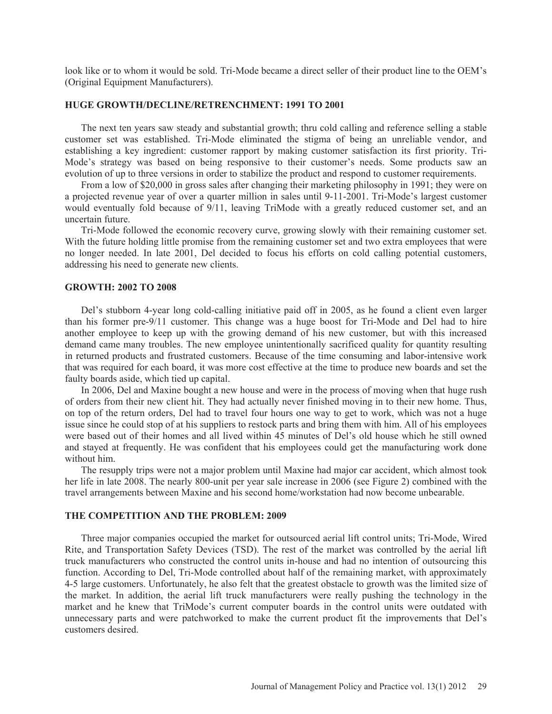look like or to whom it would be sold. Tri-Mode became a direct seller of their product line to the OEM's (Original Equipment Manufacturers).

#### **HUGE GROWTH/DECLINE/RETRENCHMENT: 1991 TO 2001**

The next ten years saw steady and substantial growth; thru cold calling and reference selling a stable customer set was established. Tri-Mode eliminated the stigma of being an unreliable vendor, and establishing a key ingredient: customer rapport by making customer satisfaction its first priority. Tri-Mode's strategy was based on being responsive to their customer's needs. Some products saw an evolution of up to three versions in order to stabilize the product and respond to customer requirements.

From a low of \$20,000 in gross sales after changing their marketing philosophy in 1991; they were on a projected revenue year of over a quarter million in sales until 9-11-2001. Tri-Mode's largest customer would eventually fold because of 9/11, leaving TriMode with a greatly reduced customer set, and an uncertain future.

Tri-Mode followed the economic recovery curve, growing slowly with their remaining customer set. With the future holding little promise from the remaining customer set and two extra employees that were no longer needed. In late 2001, Del decided to focus his efforts on cold calling potential customers, addressing his need to generate new clients.

## **GROWTH: 2002 TO 2008**

Del's stubborn 4-year long cold-calling initiative paid off in 2005, as he found a client even larger than his former pre-9/11 customer. This change was a huge boost for Tri-Mode and Del had to hire another employee to keep up with the growing demand of his new customer, but with this increased demand came many troubles. The new employee unintentionally sacrificed quality for quantity resulting in returned products and frustrated customers. Because of the time consuming and labor-intensive work that was required for each board, it was more cost effective at the time to produce new boards and set the faulty boards aside, which tied up capital.

In 2006, Del and Maxine bought a new house and were in the process of moving when that huge rush of orders from their new client hit. They had actually never finished moving in to their new home. Thus, on top of the return orders, Del had to travel four hours one way to get to work, which was not a huge issue since he could stop of at his suppliers to restock parts and bring them with him. All of his employees were based out of their homes and all lived within 45 minutes of Del's old house which he still owned and stayed at frequently. He was confident that his employees could get the manufacturing work done without him.

The resupply trips were not a major problem until Maxine had major car accident, which almost took her life in late 2008. The nearly 800-unit per year sale increase in 2006 (see Figure 2) combined with the travel arrangements between Maxine and his second home/workstation had now become unbearable.

# **THE COMPETITION AND THE PROBLEM: 2009**

Three major companies occupied the market for outsourced aerial lift control units; Tri-Mode, Wired Rite, and Transportation Safety Devices (TSD). The rest of the market was controlled by the aerial lift truck manufacturers who constructed the control units in-house and had no intention of outsourcing this function. According to Del, Tri-Mode controlled about half of the remaining market, with approximately 4-5 large customers. Unfortunately, he also felt that the greatest obstacle to growth was the limited size of the market. In addition, the aerial lift truck manufacturers were really pushing the technology in the market and he knew that TriMode's current computer boards in the control units were outdated with unnecessary parts and were patchworked to make the current product fit the improvements that Del's customers desired.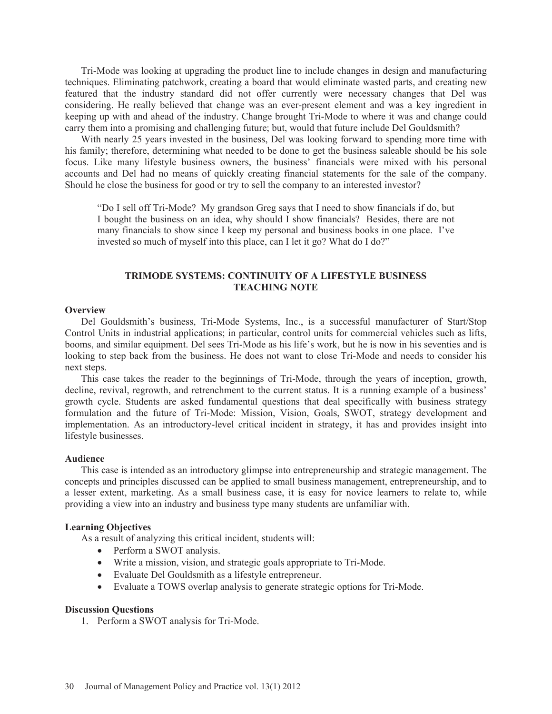Tri-Mode was looking at upgrading the product line to include changes in design and manufacturing techniques. Eliminating patchwork, creating a board that would eliminate wasted parts, and creating new featured that the industry standard did not offer currently were necessary changes that Del was considering. He really believed that change was an ever-present element and was a key ingredient in keeping up with and ahead of the industry. Change brought Tri-Mode to where it was and change could carry them into a promising and challenging future; but, would that future include Del Gouldsmith?

With nearly 25 years invested in the business, Del was looking forward to spending more time with his family; therefore, determining what needed to be done to get the business saleable should be his sole focus. Like many lifestyle business owners, the business' financials were mixed with his personal accounts and Del had no means of quickly creating financial statements for the sale of the company. Should he close the business for good or try to sell the company to an interested investor?

"Do I sell off Tri-Mode? My grandson Greg says that I need to show financials if do, but I bought the business on an idea, why should I show financials? Besides, there are not many financials to show since I keep my personal and business books in one place. I've invested so much of myself into this place, can I let it go? What do I do?"

#### **TRIMODE SYSTEMS: CONTINUITY OF A LIFESTYLE BUSINESS TEACHING NOTE**

#### **Overview**

Del Gouldsmith's business, Tri-Mode Systems, Inc., is a successful manufacturer of Start/Stop Control Units in industrial applications; in particular, control units for commercial vehicles such as lifts, booms, and similar equipment. Del sees Tri-Mode as his life's work, but he is now in his seventies and is looking to step back from the business. He does not want to close Tri-Mode and needs to consider his next steps.

This case takes the reader to the beginnings of Tri-Mode, through the years of inception, growth, decline, revival, regrowth, and retrenchment to the current status. It is a running example of a business' growth cycle. Students are asked fundamental questions that deal specifically with business strategy formulation and the future of Tri-Mode: Mission, Vision, Goals, SWOT, strategy development and implementation. As an introductory-level critical incident in strategy, it has and provides insight into lifestyle businesses.

#### **Audience**

This case is intended as an introductory glimpse into entrepreneurship and strategic management. The concepts and principles discussed can be applied to small business management, entrepreneurship, and to a lesser extent, marketing. As a small business case, it is easy for novice learners to relate to, while providing a view into an industry and business type many students are unfamiliar with.

#### **Learning Objectives**

As a result of analyzing this critical incident, students will:

- Perform a SWOT analysis.
- Write a mission, vision, and strategic goals appropriate to Tri-Mode.
- Evaluate Del Gouldsmith as a lifestyle entrepreneur.
- Evaluate a TOWS overlap analysis to generate strategic options for Tri-Mode.

#### **Discussion Questions**

1. Perform a SWOT analysis for Tri-Mode.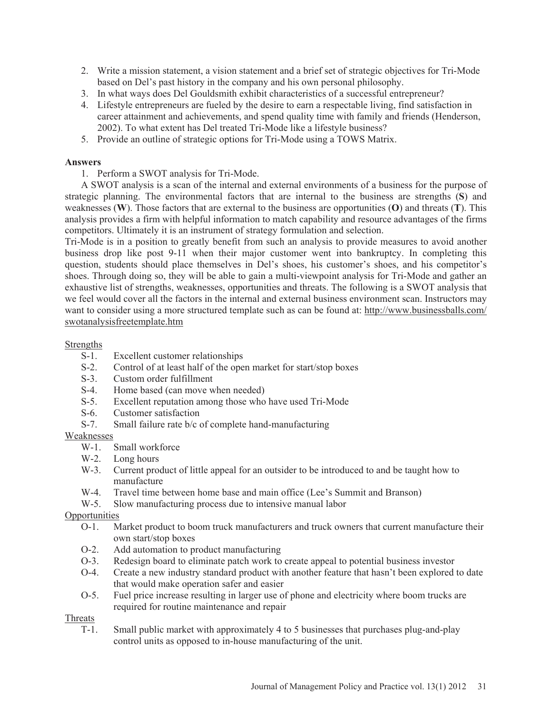- 2. Write a mission statement, a vision statement and a brief set of strategic objectives for Tri-Mode based on Del's past history in the company and his own personal philosophy.
- 3. In what ways does Del Gouldsmith exhibit characteristics of a successful entrepreneur?
- 4. Lifestyle entrepreneurs are fueled by the desire to earn a respectable living, find satisfaction in career attainment and achievements, and spend quality time with family and friends (Henderson, 2002). To what extent has Del treated Tri-Mode like a lifestyle business?
- 5. Provide an outline of strategic options for Tri-Mode using a TOWS Matrix.

# **Answers**

1. Perform a SWOT analysis for Tri-Mode.

A SWOT analysis is a scan of the internal and external environments of a business for the purpose of strategic planning. The environmental factors that are internal to the business are strengths (**S**) and weaknesses (**W**). Those factors that are external to the business are opportunities (**O**) and threats (**T**). This analysis provides a firm with helpful information to match capability and resource advantages of the firms competitors. Ultimately it is an instrument of strategy formulation and selection.

Tri-Mode is in a position to greatly benefit from such an analysis to provide measures to avoid another business drop like post 9-11 when their major customer went into bankruptcy. In completing this question, students should place themselves in Del's shoes, his customer's shoes, and his competitor's shoes. Through doing so, they will be able to gain a multi-viewpoint analysis for Tri-Mode and gather an exhaustive list of strengths, weaknesses, opportunities and threats. The following is a SWOT analysis that we feel would cover all the factors in the internal and external business environment scan. Instructors may want to consider using a more structured template such as can be found at: http://www.businessballs.com/ swotanalysisfreetemplate.htm

# Strengths

- S-1. Excellent customer relationships
- S-2. Control of at least half of the open market for start/stop boxes
- S-3. Custom order fulfillment
- S-4. Home based (can move when needed)
- S-5. Excellent reputation among those who have used Tri-Mode
- S-6. Customer satisfaction
- S-7. Small failure rate b/c of complete hand-manufacturing

# $\frac{\text{Weaknesses}}{\text{W-1}}$

- Small workforce
- W-2. Long hours
- W-3. Current product of little appeal for an outsider to be introduced to and be taught how to manufacture
- W-4. Travel time between home base and main office (Lee's Summit and Branson)
- W-5. Slow manufacturing process due to intensive manual labor

# **Opportunities**

- O-1. Market product to boom truck manufacturers and truck owners that current manufacture their own start/stop boxes
- O-2. Add automation to product manufacturing
- O-3. Redesign board to eliminate patch work to create appeal to potential business investor
- O-4. Create a new industry standard product with another feature that hasn't been explored to date that would make operation safer and easier
- O-5. Fuel price increase resulting in larger use of phone and electricity where boom trucks are required for routine maintenance and repair

# Threats

T-1. Small public market with approximately 4 to 5 businesses that purchases plug-and-play control units as opposed to in-house manufacturing of the unit.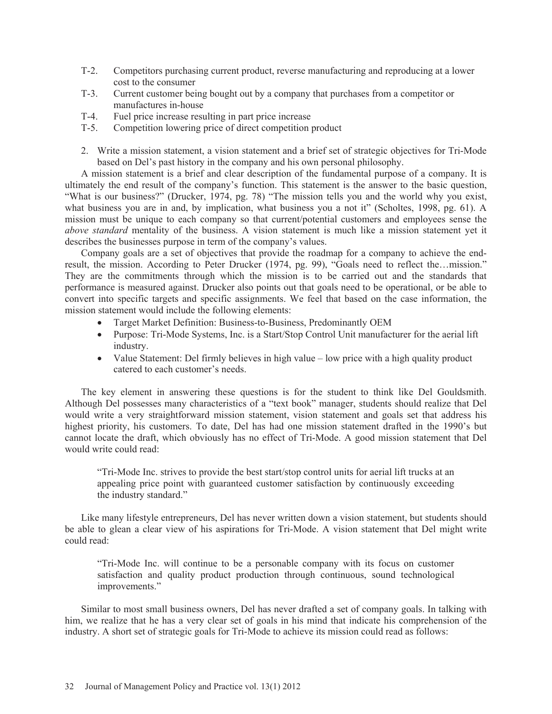- T-2. Competitors purchasing current product, reverse manufacturing and reproducing at a lower cost to the consumer
- T-3. Current customer being bought out by a company that purchases from a competitor or manufactures in-house
- T-4. Fuel price increase resulting in part price increase
- T-5. Competition lowering price of direct competition product
- 2. Write a mission statement, a vision statement and a brief set of strategic objectives for Tri-Mode based on Del's past history in the company and his own personal philosophy.

A mission statement is a brief and clear description of the fundamental purpose of a company. It is ultimately the end result of the company's function. This statement is the answer to the basic question, "What is our business?" (Drucker, 1974, pg. 78) "The mission tells you and the world why you exist, what business you are in and, by implication, what business you a not it" (Scholtes, 1998, pg. 61). A mission must be unique to each company so that current/potential customers and employees sense the *above standard* mentality of the business. A vision statement is much like a mission statement yet it describes the businesses purpose in term of the company's values.

Company goals are a set of objectives that provide the roadmap for a company to achieve the endresult, the mission. According to Peter Drucker (1974, pg. 99), "Goals need to reflect the…mission." They are the commitments through which the mission is to be carried out and the standards that performance is measured against. Drucker also points out that goals need to be operational, or be able to convert into specific targets and specific assignments. We feel that based on the case information, the mission statement would include the following elements:

- Target Market Definition: Business-to-Business, Predominantly OEM
- Purpose: Tri-Mode Systems, Inc. is a Start/Stop Control Unit manufacturer for the aerial lift industry.
- Value Statement: Del firmly believes in high value low price with a high quality product catered to each customer's needs.

The key element in answering these questions is for the student to think like Del Gouldsmith. Although Del possesses many characteristics of a "text book" manager, students should realize that Del would write a very straightforward mission statement, vision statement and goals set that address his highest priority, his customers. To date, Del has had one mission statement drafted in the 1990's but cannot locate the draft, which obviously has no effect of Tri-Mode. A good mission statement that Del would write could read:

"Tri-Mode Inc. strives to provide the best start/stop control units for aerial lift trucks at an appealing price point with guaranteed customer satisfaction by continuously exceeding the industry standard."

Like many lifestyle entrepreneurs, Del has never written down a vision statement, but students should be able to glean a clear view of his aspirations for Tri-Mode. A vision statement that Del might write could read:

"Tri-Mode Inc. will continue to be a personable company with its focus on customer satisfaction and quality product production through continuous, sound technological improvements."

Similar to most small business owners, Del has never drafted a set of company goals. In talking with him, we realize that he has a very clear set of goals in his mind that indicate his comprehension of the industry. A short set of strategic goals for Tri-Mode to achieve its mission could read as follows: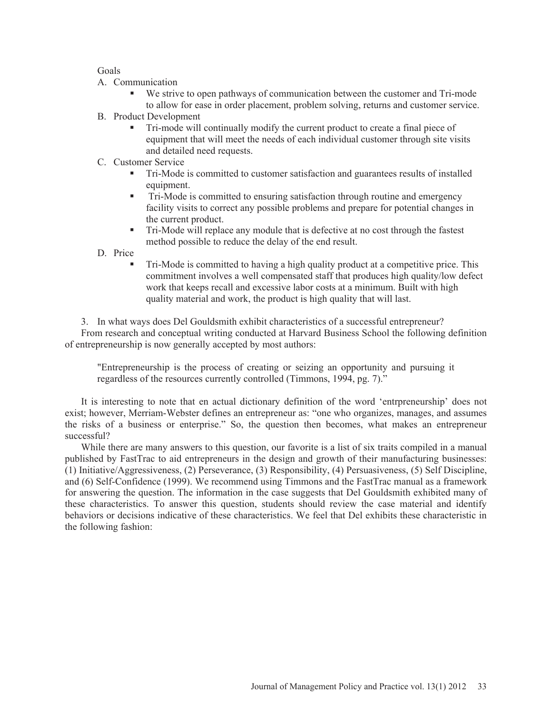## Goals

- A. Communication
	- We strive to open pathways of communication between the customer and Tri-mode to allow for ease in order placement, problem solving, returns and customer service.
- B. Product Development
	- Tri-mode will continually modify the current product to create a final piece of equipment that will meet the needs of each individual customer through site visits and detailed need requests.
- C. Customer Service
	- Tri-Mode is committed to customer satisfaction and guarantees results of installed equipment.
	- Tri-Mode is committed to ensuring satisfaction through routine and emergency facility visits to correct any possible problems and prepare for potential changes in the current product.
	- Tri-Mode will replace any module that is defective at no cost through the fastest method possible to reduce the delay of the end result.

D. Price

 Tri-Mode is committed to having a high quality product at a competitive price. This commitment involves a well compensated staff that produces high quality/low defect work that keeps recall and excessive labor costs at a minimum. Built with high quality material and work, the product is high quality that will last.

3. In what ways does Del Gouldsmith exhibit characteristics of a successful entrepreneur? From research and conceptual writing conducted at Harvard Business School the following definition of entrepreneurship is now generally accepted by most authors:

"Entrepreneurship is the process of creating or seizing an opportunity and pursuing it regardless of the resources currently controlled (Timmons, 1994, pg. 7)."

It is interesting to note that en actual dictionary definition of the word 'entrpreneurship' does not exist; however, Merriam-Webster defines an entrepreneur as: "one who organizes, manages, and assumes the risks of a business or enterprise." So, the question then becomes, what makes an entrepreneur successful?

While there are many answers to this question, our favorite is a list of six traits compiled in a manual published by FastTrac to aid entrepreneurs in the design and growth of their manufacturing businesses: (1) Initiative/Aggressiveness, (2) Perseverance, (3) Responsibility, (4) Persuasiveness, (5) Self Discipline, and (6) Self-Confidence (1999). We recommend using Timmons and the FastTrac manual as a framework for answering the question. The information in the case suggests that Del Gouldsmith exhibited many of these characteristics. To answer this question, students should review the case material and identify behaviors or decisions indicative of these characteristics. We feel that Del exhibits these characteristic in the following fashion: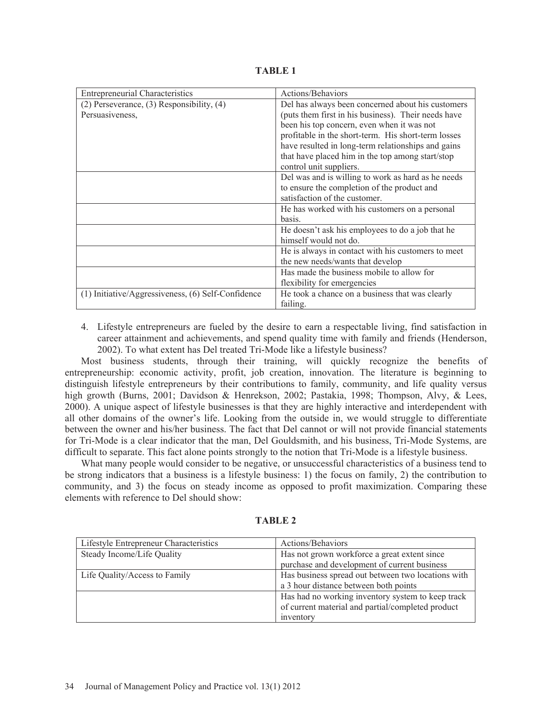**TABLE 1** 

| <b>Entrepreneurial Characteristics</b>                 | Actions/Behaviors                                   |
|--------------------------------------------------------|-----------------------------------------------------|
| $(2)$ Perseverance, $(3)$ Responsibility, $(4)$        | Del has always been concerned about his customers   |
| Persuasiveness,                                        | (puts them first in his business). Their needs have |
|                                                        | been his top concern, even when it was not          |
|                                                        | profitable in the short-term. His short-term losses |
|                                                        | have resulted in long-term relationships and gains  |
|                                                        | that have placed him in the top among start/stop    |
|                                                        | control unit suppliers.                             |
|                                                        | Del was and is willing to work as hard as he needs  |
|                                                        | to ensure the completion of the product and         |
|                                                        | satisfaction of the customer.                       |
|                                                        | He has worked with his customers on a personal      |
|                                                        | basis.                                              |
|                                                        | He doesn't ask his employees to do a job that he    |
|                                                        | himself would not do.                               |
|                                                        | He is always in contact with his customers to meet  |
|                                                        | the new needs/wants that develop                    |
|                                                        | Has made the business mobile to allow for           |
|                                                        | flexibility for emergencies                         |
| $(1)$ Initiative/Aggressiveness, $(6)$ Self-Confidence | He took a chance on a business that was clearly     |
|                                                        | failing.                                            |

4. Lifestyle entrepreneurs are fueled by the desire to earn a respectable living, find satisfaction in career attainment and achievements, and spend quality time with family and friends (Henderson, 2002). To what extent has Del treated Tri-Mode like a lifestyle business?

Most business students, through their training, will quickly recognize the benefits of entrepreneurship: economic activity, profit, job creation, innovation. The literature is beginning to distinguish lifestyle entrepreneurs by their contributions to family, community, and life quality versus high growth (Burns, 2001; Davidson & Henrekson, 2002; Pastakia, 1998; Thompson, Alvy, & Lees, 2000). A unique aspect of lifestyle businesses is that they are highly interactive and interdependent with all other domains of the owner's life. Looking from the outside in, we would struggle to differentiate between the owner and his/her business. The fact that Del cannot or will not provide financial statements for Tri-Mode is a clear indicator that the man, Del Gouldsmith, and his business, Tri-Mode Systems, are difficult to separate. This fact alone points strongly to the notion that Tri-Mode is a lifestyle business.

What many people would consider to be negative, or unsuccessful characteristics of a business tend to be strong indicators that a business is a lifestyle business: 1) the focus on family, 2) the contribution to community, and 3) the focus on steady income as opposed to profit maximization. Comparing these elements with reference to Del should show:

| Lifestyle Entrepreneur Characteristics | Actions/Behaviors                                  |
|----------------------------------------|----------------------------------------------------|
| Steady Income/Life Quality             | Has not grown workforce a great extent since       |
|                                        | purchase and development of current business       |
| Life Quality/Access to Family          | Has business spread out between two locations with |
|                                        | a 3 hour distance between both points              |
|                                        | Has had no working inventory system to keep track  |
|                                        | of current material and partial/completed product  |
|                                        | inventory                                          |

**TABLE 2**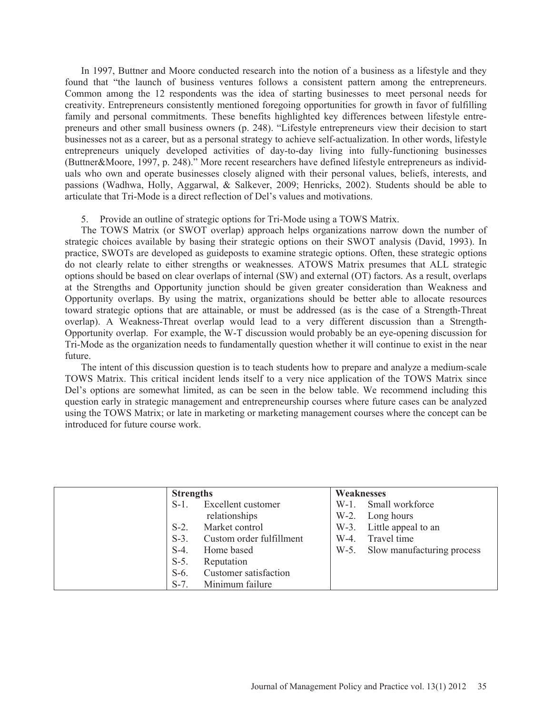In 1997, Buttner and Moore conducted research into the notion of a business as a lifestyle and they found that "the launch of business ventures follows a consistent pattern among the entrepreneurs. Common among the 12 respondents was the idea of starting businesses to meet personal needs for creativity. Entrepreneurs consistently mentioned foregoing opportunities for growth in favor of fulfilling family and personal commitments. These benefits highlighted key differences between lifestyle entrepreneurs and other small business owners (p. 248). "Lifestyle entrepreneurs view their decision to start businesses not as a career, but as a personal strategy to achieve self-actualization. In other words, lifestyle entrepreneurs uniquely developed activities of day-to-day living into fully-functioning businesses (Buttner&Moore, 1997, p. 248)." More recent researchers have defined lifestyle entrepreneurs as individuals who own and operate businesses closely aligned with their personal values, beliefs, interests, and passions (Wadhwa, Holly, Aggarwal, & Salkever, 2009; Henricks, 2002). Students should be able to articulate that Tri-Mode is a direct reflection of Del's values and motivations.

### 5. Provide an outline of strategic options for Tri-Mode using a TOWS Matrix.

The TOWS Matrix (or SWOT overlap) approach helps organizations narrow down the number of strategic choices available by basing their strategic options on their SWOT analysis (David, 1993). In practice, SWOTs are developed as guideposts to examine strategic options. Often, these strategic options do not clearly relate to either strengths or weaknesses. ATOWS Matrix presumes that ALL strategic options should be based on clear overlaps of internal (SW) and external (OT) factors. As a result, overlaps at the Strengths and Opportunity junction should be given greater consideration than Weakness and Opportunity overlaps. By using the matrix, organizations should be better able to allocate resources toward strategic options that are attainable, or must be addressed (as is the case of a Strength-Threat overlap). A Weakness-Threat overlap would lead to a very different discussion than a Strength-Opportunity overlap. For example, the W-T discussion would probably be an eye-opening discussion for Tri-Mode as the organization needs to fundamentally question whether it will continue to exist in the near future.

The intent of this discussion question is to teach students how to prepare and analyze a medium-scale TOWS Matrix. This critical incident lends itself to a very nice application of the TOWS Matrix since Del's options are somewhat limited, as can be seen in the below table. We recommend including this question early in strategic management and entrepreneurship courses where future cases can be analyzed using the TOWS Matrix; or late in marketing or marketing management courses where the concept can be introduced for future course work.

|         | <b>Strengths</b>         | Weaknesses                      |
|---------|--------------------------|---------------------------------|
| $S-1$ . | Excellent customer       | W-1. Small workforce            |
|         | relationships            | $W-2$ .<br>Long hours           |
| $S-2$ . | Market control           | Little appeal to an<br>$W-3$ .  |
| $S-3$ . | Custom order fulfillment | Travel time<br>$W-4$ .          |
| $S-4$ . | Home based               | W-5. Slow manufacturing process |
| $S-5$ . | Reputation               |                                 |
| $S-6$ . | Customer satisfaction    |                                 |
| $S-7$ . | Minimum failure          |                                 |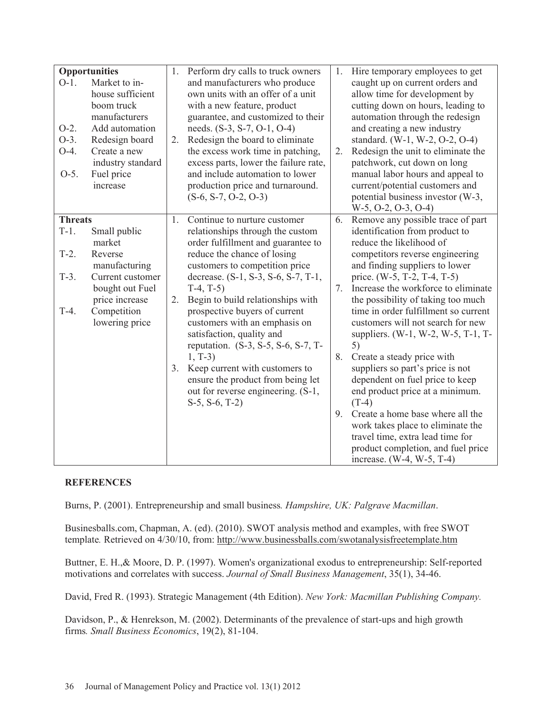| $O-1$ .<br>$O-2$ .<br>$O-3$ .                   | Opportunities<br>Market to in-<br>house sufficient<br>boom truck<br>manufacturers<br>Add automation<br>Redesign board | 1.<br>2. | Perform dry calls to truck owners<br>and manufacturers who produce<br>own units with an offer of a unit<br>with a new feature, product<br>guarantee, and customized to their<br>needs. (S-3, S-7, O-1, O-4)<br>Redesign the board to eliminate                                                                                                                                     | 1.       | Hire temporary employees to get<br>caught up on current orders and<br>allow time for development by<br>cutting down on hours, leading to<br>automation through the redesign<br>and creating a new industry<br>standard. (W-1, W-2, O-2, O-4)                                                                                                                                         |
|-------------------------------------------------|-----------------------------------------------------------------------------------------------------------------------|----------|------------------------------------------------------------------------------------------------------------------------------------------------------------------------------------------------------------------------------------------------------------------------------------------------------------------------------------------------------------------------------------|----------|--------------------------------------------------------------------------------------------------------------------------------------------------------------------------------------------------------------------------------------------------------------------------------------------------------------------------------------------------------------------------------------|
| $O-4.$<br>$O-5$ .                               | Create a new<br>industry standard<br>Fuel price<br>increase                                                           |          | the excess work time in patching,<br>excess parts, lower the failure rate,<br>and include automation to lower<br>production price and turnaround.<br>$(S-6, S-7, O-2, O-3)$                                                                                                                                                                                                        | 2.       | Redesign the unit to eliminate the<br>patchwork, cut down on long<br>manual labor hours and appeal to<br>current/potential customers and<br>potential business investor (W-3,<br>$W-5$ , O-2, O-3, O-4)                                                                                                                                                                              |
| <b>Threats</b><br>$T-1$ .<br>$T-2$ .<br>$T-3$ . | Small public<br>market<br>Reverse<br>manufacturing<br>Current customer                                                | 1.       | Continue to nurture customer<br>relationships through the custom<br>order fulfillment and guarantee to<br>reduce the chance of losing<br>customers to competition price                                                                                                                                                                                                            | 6.       | Remove any possible trace of part<br>identification from product to<br>reduce the likelihood of<br>competitors reverse engineering<br>and finding suppliers to lower                                                                                                                                                                                                                 |
| $T-4$ .                                         | bought out Fuel<br>price increase<br>Competition<br>lowering price                                                    | 2.<br>3. | decrease. (S-1, S-3, S-6, S-7, T-1,<br>$T-4, T-5)$<br>Begin to build relationships with<br>prospective buyers of current<br>customers with an emphasis on<br>satisfaction, quality and<br>reputation. (S-3, S-5, S-6, S-7, T-<br>$1, T-3)$<br>Keep current with customers to<br>ensure the product from being let<br>out for reverse engineering. (S-1,<br>$S-5$ , $S-6$ , $T-2$ ) | 7.<br>8. | price. (W-5, T-2, T-4, T-5)<br>Increase the workforce to eliminate<br>the possibility of taking too much<br>time in order fulfillment so current<br>customers will not search for new<br>suppliers. (W-1, W-2, W-5, T-1, T-<br>5)<br>Create a steady price with<br>suppliers so part's price is not<br>dependent on fuel price to keep<br>end product price at a minimum.<br>$(T-4)$ |
|                                                 |                                                                                                                       |          |                                                                                                                                                                                                                                                                                                                                                                                    | 9.       | Create a home base where all the<br>work takes place to eliminate the<br>travel time, extra lead time for<br>product completion, and fuel price<br>increase. $(W-4, W-5, T-4)$                                                                                                                                                                                                       |

# **REFERENCES**

Burns, P. (2001). Entrepreneurship and small business*. Hampshire, UK: Palgrave Macmillan*.

Businesballs.com, Chapman, A. (ed). (2010). SWOT analysis method and examples, with free SWOT template*.* Retrieved on 4/30/10, from: http://www.businessballs.com/swotanalysisfreetemplate.htm

Buttner, E. H.,& Moore, D. P. (1997). Women's organizational exodus to entrepreneurship: Self-reported motivations and correlates with success. *Journal of Small Business Management*, 35(1), 34-46.

David, Fred R. (1993). Strategic Management (4th Edition). *New York: Macmillan Publishing Company.* 

Davidson, P., & Henrekson, M. (2002). Determinants of the prevalence of start-ups and high growth firms*. Small Business Economics*, 19(2), 81-104.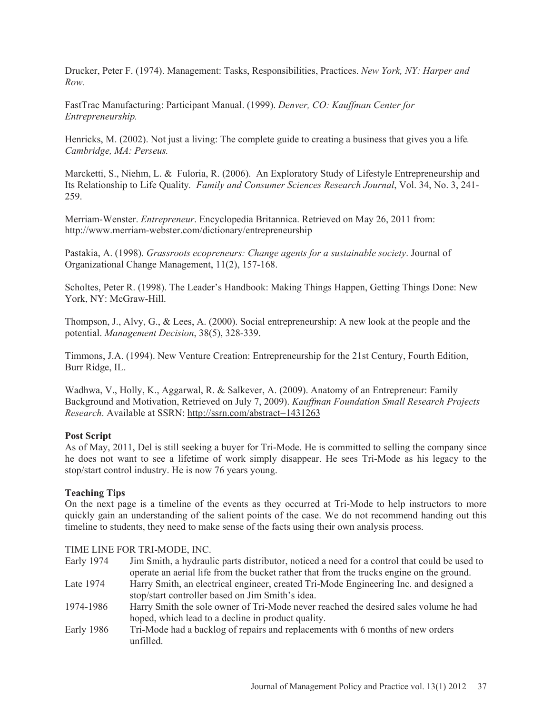Drucker, Peter F. (1974). Management: Tasks, Responsibilities, Practices. *New York, NY: Harper and Row.* 

FastTrac Manufacturing: Participant Manual. (1999). *Denver, CO: Kauffman Center for Entrepreneurship.* 

Henricks, M. (2002). Not just a living: The complete guide to creating a business that gives you a life*. Cambridge, MA: Perseus.*

Marcketti, S., Niehm, L. & Fuloria, R. (2006). An Exploratory Study of Lifestyle Entrepreneurship and Its Relationship to Life Quality*. Family and Consumer Sciences Research Journal*, Vol. 34, No. 3, 241- 259.

Merriam-Wenster. *Entrepreneur*. Encyclopedia Britannica. Retrieved on May 26, 2011 from: http://www.merriam-webster.com/dictionary/entrepreneurship

Pastakia, A. (1998). *Grassroots ecopreneurs: Change agents for a sustainable society*. Journal of Organizational Change Management, 11(2), 157-168.

Scholtes, Peter R. (1998). The Leader's Handbook: Making Things Happen, Getting Things Done: New York, NY: McGraw-Hill.

Thompson, J., Alvy, G., & Lees, A. (2000). Social entrepreneurship: A new look at the people and the potential. *Management Decision*, 38(5), 328-339.

Timmons, J.A. (1994). New Venture Creation: Entrepreneurship for the 21st Century, Fourth Edition, Burr Ridge, IL.

Wadhwa, V., Holly, K., Aggarwal, R. & Salkever, A. (2009). Anatomy of an Entrepreneur: Family Background and Motivation, Retrieved on July 7, 2009). *Kauffman Foundation Small Research Projects Research*. Available at SSRN: http://ssrn.com/abstract=1431263

### **Post Script**

As of May, 2011, Del is still seeking a buyer for Tri-Mode. He is committed to selling the company since he does not want to see a lifetime of work simply disappear. He sees Tri-Mode as his legacy to the stop/start control industry. He is now 76 years young.

### **Teaching Tips**

On the next page is a timeline of the events as they occurred at Tri-Mode to help instructors to more quickly gain an understanding of the salient points of the case. We do not recommend handing out this timeline to students, they need to make sense of the facts using their own analysis process.

### TIME LINE FOR TRI-MODE, INC.

Early 1974 Jim Smith, a hydraulic parts distributor, noticed a need for a control that could be used to operate an aerial life from the bucket rather that from the trucks engine on the ground. Late 1974 Harry Smith, an electrical engineer, created Tri-Mode Engineering Inc. and designed a stop/start controller based on Jim Smith's idea. 1974-1986 Harry Smith the sole owner of Tri-Mode never reached the desired sales volume he had hoped, which lead to a decline in product quality. Early 1986 Tri-Mode had a backlog of repairs and replacements with 6 months of new orders unfilled.